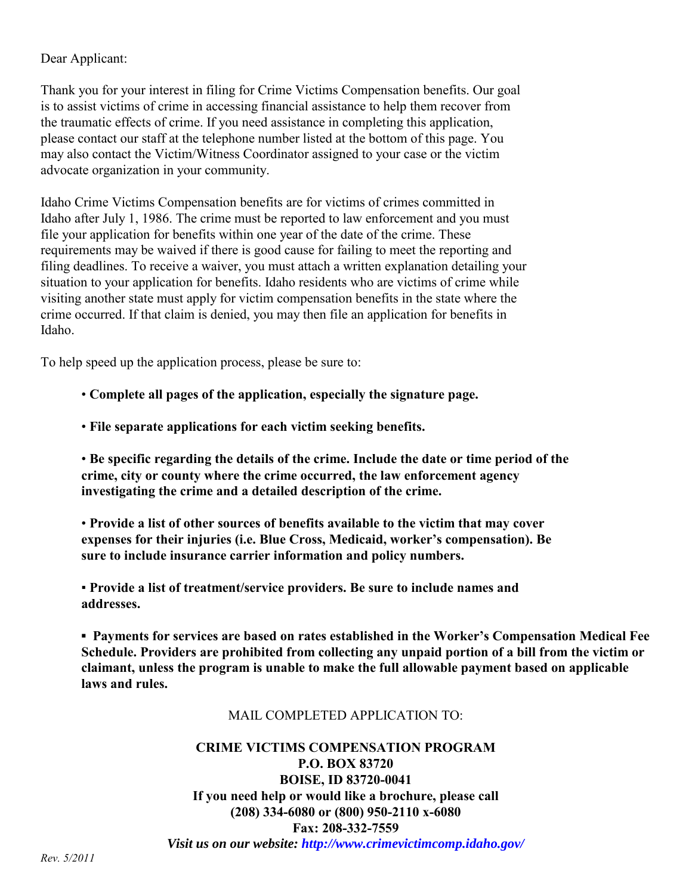## Dear Applicant:

Thank you for your interest in filing for Crime Victims Compensation benefits. Our goal is to assist victims of crime in accessing financial assistance to help them recover from the traumatic effects of crime. If you need assistance in completing this application, please contact our staff at the telephone number listed at the bottom of this page. You may also contact the Victim/Witness Coordinator assigned to your case or the victim advocate organization in your community.

Idaho Crime Victims Compensation benefits are for victims of crimes committed in Idaho after July 1, 1986. The crime must be reported to law enforcement and you must file your application for benefits within one year of the date of the crime. These requirements may be waived if there is good cause for failing to meet the reporting and filing deadlines. To receive a waiver, you must attach a written explanation detailing your situation to your application for benefits. Idaho residents who are victims of crime while visiting another state must apply for victim compensation benefits in the state where the crime occurred. If that claim is denied, you may then file an application for benefits in Idaho.

To help speed up the application process, please be sure to:

- **Complete all pages of the application, especially the signature page.**
- **File separate applications for each victim seeking benefits.**

• **Be specific regarding the details of the crime. Include the date or time period of the crime, city or county where the crime occurred, the law enforcement agency investigating the crime and a detailed description of the crime.**

• **Provide a list of other sources of benefits available to the victim that may cover expenses for their injuries (i.e. Blue Cross, Medicaid, worker's compensation). Be sure to include insurance carrier information and policy numbers.**

▪ **Provide a list of treatment/service providers. Be sure to include names and addresses.**

**▪ Payments for services are based on rates established in the Worker's Compensation Medical Fee Schedule. Providers are prohibited from collecting any unpaid portion of a bill from the victim or claimant, unless the program is unable to make the full allowable payment based on applicable laws and rules.**

## MAIL COMPLETED APPLICATION TO:

# **CRIME VICTIMS COMPENSATION PROGRAM P.O. BOX 83720 BOISE, ID 83720-0041 If you need help or would like a brochure, please call (208) 334-6080 or (800) 950-2110 x-6080 Fax: 208-332-7559**

*Visit us on our website: http://www.crimevictimcomp.idaho.gov/*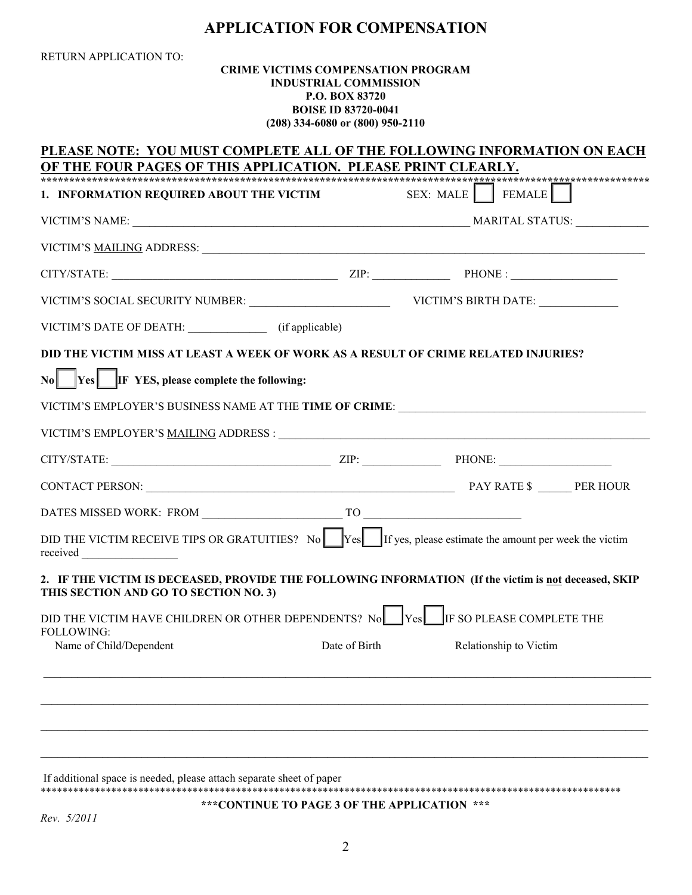# **APPLICATION FOR COMPENSATION**

| RETURN APPLICATION TO:                                                                                                                                                                                                                                                                                     | <b>CRIME VICTIMS COMPENSATION PROGRAM</b> | <b>INDUSTRIAL COMMISSION</b><br><b>P.O. BOX 83720</b><br><b>BOISE ID 83720-0041</b><br>(208) 334-6080 or (800) 950-2110 |                        |  |  |
|------------------------------------------------------------------------------------------------------------------------------------------------------------------------------------------------------------------------------------------------------------------------------------------------------------|-------------------------------------------|-------------------------------------------------------------------------------------------------------------------------|------------------------|--|--|
| PLEASE NOTE: YOU MUST COMPLETE ALL OF THE FOLLOWING INFORMATION ON EACH<br>OF THE FOUR PAGES OF THIS APPLICATION. PLEASE PRINT CLEARLY.                                                                                                                                                                    |                                           |                                                                                                                         |                        |  |  |
| 1. INFORMATION REQUIRED ABOUT THE VICTIM                                                                                                                                                                                                                                                                   |                                           |                                                                                                                         | SEX: MALE FEMALE       |  |  |
|                                                                                                                                                                                                                                                                                                            |                                           |                                                                                                                         |                        |  |  |
|                                                                                                                                                                                                                                                                                                            |                                           |                                                                                                                         |                        |  |  |
|                                                                                                                                                                                                                                                                                                            |                                           |                                                                                                                         |                        |  |  |
|                                                                                                                                                                                                                                                                                                            |                                           |                                                                                                                         |                        |  |  |
| VICTIM'S DATE OF DEATH: (if applicable)                                                                                                                                                                                                                                                                    |                                           |                                                                                                                         |                        |  |  |
| DID THE VICTIM MISS AT LEAST A WEEK OF WORK AS A RESULT OF CRIME RELATED INJURIES?<br>$\begin{array}{ c c } \hline \text{N0} & \text{Yes} & \text{IF } \text{YES, please complete the following:} \hline \end{array}$<br>VICTIM'S EMPLOYER'S BUSINESS NAME AT THE TIME OF CRIME: _________________________ |                                           |                                                                                                                         |                        |  |  |
| $CITY/STATE:$ PHONE: PHONE:                                                                                                                                                                                                                                                                                |                                           |                                                                                                                         |                        |  |  |
|                                                                                                                                                                                                                                                                                                            |                                           |                                                                                                                         |                        |  |  |
|                                                                                                                                                                                                                                                                                                            |                                           |                                                                                                                         |                        |  |  |
| DID THE VICTIM RECEIVE TIPS OR GRATUITIES? No $\begin{bmatrix} \text{Yes} \\ \text{If yes, please estimate the amount per week the victim} \end{bmatrix}$<br>received                                                                                                                                      |                                           |                                                                                                                         |                        |  |  |
| 2. IF THE VICTIM IS DECEASED, PROVIDE THE FOLLOWING INFORMATION (If the victim is not deceased, SKIP<br>THIS SECTION AND GO TO SECTION NO. 3)                                                                                                                                                              |                                           |                                                                                                                         |                        |  |  |
| DID THE VICTIM HAVE CHILDREN OR OTHER DEPENDENTS? No Yes FIF SO PLEASE COMPLETE THE<br><b>FOLLOWING:</b><br>Name of Child/Dependent                                                                                                                                                                        |                                           | Date of Birth                                                                                                           | Relationship to Victim |  |  |
|                                                                                                                                                                                                                                                                                                            |                                           |                                                                                                                         |                        |  |  |
|                                                                                                                                                                                                                                                                                                            |                                           |                                                                                                                         |                        |  |  |
|                                                                                                                                                                                                                                                                                                            |                                           |                                                                                                                         |                        |  |  |

If additional space is needed, please attach separate sheet of paper \*\*\*\*\*\*\*\*\*\*\*\*\*\*\*\*\*\*\*\*\*\*\*\*\*\*\*\*\*\*\*\*\*\*\*\*\*\*\*\*\*\*\*\*\*\*\*\*\*\*\*\*\*\*\*\*\*\*\*\*\*\*\*\*\*\*\*\*\*\*\*\*\*\*\*\*\*\*\*\*\*\*\*\*\*\*\*\*\*\*\*\*\*\*\*\*\*\*\*\*\*\*\*\*\*\*\*

**\*\*\*CONTINUE TO PAGE 3 OF THE APPLICATION \*\*\*** 

*Rev. 5/2011*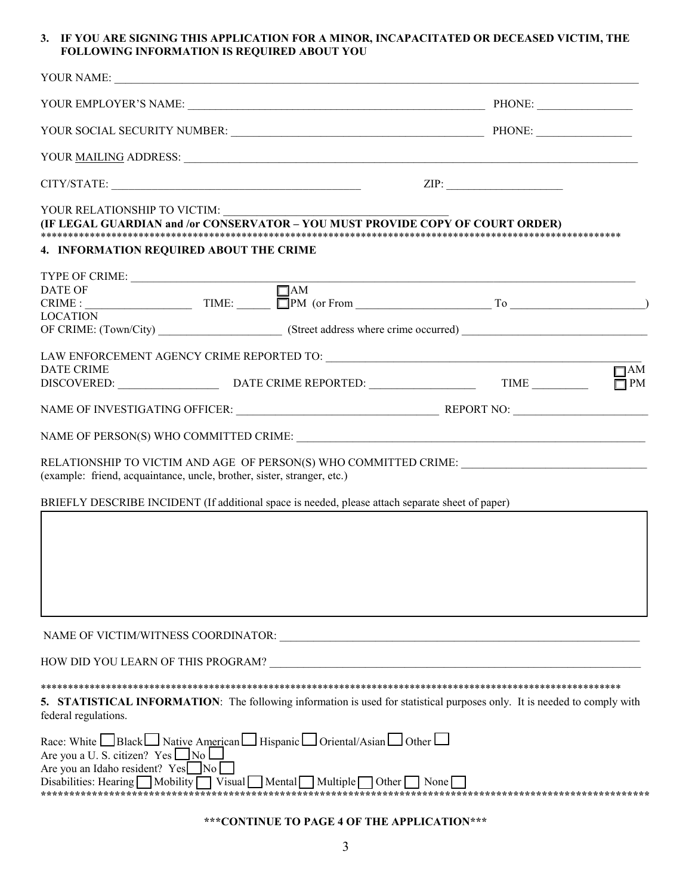#### **3. IF YOU ARE SIGNING THIS APPLICATION FOR A MINOR, INCAPACITATED OR DECEASED VICTIM, THE FOLLOWING INFORMATION IS REQUIRED ABOUT YOU**

|                                                                                                                                                                                                                                                                          | ZIP:                                                                                                                            |
|--------------------------------------------------------------------------------------------------------------------------------------------------------------------------------------------------------------------------------------------------------------------------|---------------------------------------------------------------------------------------------------------------------------------|
| YOUR RELATIONSHIP TO VICTIM:<br>(IF LEGAL GUARDIAN and /or CONSERVATOR - YOU MUST PROVIDE COPY OF COURT ORDER)                                                                                                                                                           |                                                                                                                                 |
| 4. INFORMATION REQUIRED ABOUT THE CRIME                                                                                                                                                                                                                                  |                                                                                                                                 |
| TYPE OF CRIME: $\qquad \qquad \qquad \Box$<br><b>LOCATION</b>                                                                                                                                                                                                            |                                                                                                                                 |
|                                                                                                                                                                                                                                                                          |                                                                                                                                 |
| <b>DATE CRIME</b>                                                                                                                                                                                                                                                        | $\Box$ AM<br>$\Box$ PM                                                                                                          |
|                                                                                                                                                                                                                                                                          |                                                                                                                                 |
|                                                                                                                                                                                                                                                                          |                                                                                                                                 |
| (example: friend, acquaintance, uncle, brother, sister, stranger, etc.)                                                                                                                                                                                                  | RELATIONSHIP TO VICTIM AND AGE OF PERSON(S) WHO COMMITTED CRIME: ________________                                               |
| BRIEFLY DESCRIBE INCIDENT (If additional space is needed, please attach separate sheet of paper)                                                                                                                                                                         |                                                                                                                                 |
|                                                                                                                                                                                                                                                                          |                                                                                                                                 |
|                                                                                                                                                                                                                                                                          |                                                                                                                                 |
| HOW DID YOU LEARN OF THIS PROGRAM? _                                                                                                                                                                                                                                     |                                                                                                                                 |
| federal regulations.                                                                                                                                                                                                                                                     | <b>5. STATISTICAL INFORMATION:</b> The following information is used for statistical purposes only. It is needed to comply with |
| Race: White Black Slack Native American Slav Hispanic Solution Asian Sother<br>Are you a U. S. citizen? $Yes \Box No$<br>Are you an Idaho resident? Yes No<br>Disabilities: Hearing $\Box$ Mobility $\Box$ Visual $\Box$ Mental $\Box$ Multiple $\Box$ Other $\Box$ None |                                                                                                                                 |
|                                                                                                                                                                                                                                                                          |                                                                                                                                 |

## **\*\*\*CONTINUE TO PAGE 4 OF THE APPLICATION\*\*\***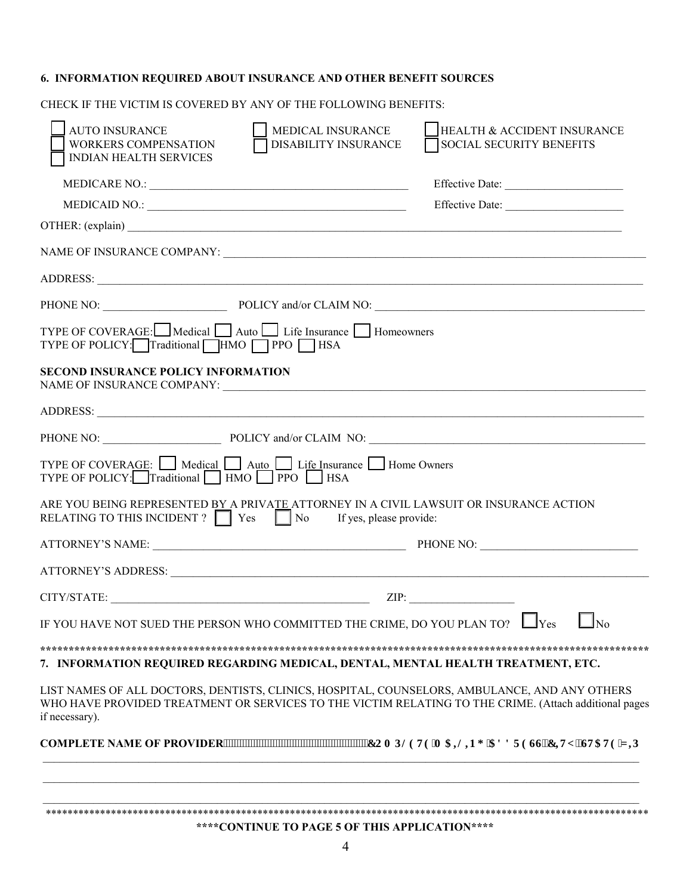### **6. INFORMATION REQUIRED ABOUT INSURANCE AND OTHER BENEFIT SOURCES**

CHECK IF THE VICTIM IS COVERED BY ANY OF THE FOLLOWING BENEFITS:

| <b>AUTO INSURANCE</b><br>WORKERS COMPENSATION<br>INDIAN HEALTH SERVICES                                                                              | MEDICAL INSURANCE<br>DISABILITY INSURANCE | HEALTH & ACCIDENT INSURANCE<br>SOCIAL SECURITY BENEFITS                                                                                                                                                |
|------------------------------------------------------------------------------------------------------------------------------------------------------|-------------------------------------------|--------------------------------------------------------------------------------------------------------------------------------------------------------------------------------------------------------|
|                                                                                                                                                      |                                           |                                                                                                                                                                                                        |
|                                                                                                                                                      |                                           | Effective Date:                                                                                                                                                                                        |
|                                                                                                                                                      |                                           | OTHER: (explain)                                                                                                                                                                                       |
|                                                                                                                                                      |                                           |                                                                                                                                                                                                        |
|                                                                                                                                                      |                                           |                                                                                                                                                                                                        |
|                                                                                                                                                      |                                           | PHONE NO: POLICY and/or CLAIM NO: POLICY and COLAIM NO:                                                                                                                                                |
| TYPE OF COVERAGE: Medical Auto Life Insurance Homeowners<br>TYPE OF POLICY: Traditional HMO PPO HSA                                                  |                                           |                                                                                                                                                                                                        |
| <b>SECOND INSURANCE POLICY INFORMATION</b>                                                                                                           |                                           |                                                                                                                                                                                                        |
|                                                                                                                                                      |                                           |                                                                                                                                                                                                        |
|                                                                                                                                                      |                                           | PHONE NO: POLICY and/or CLAIM NO:                                                                                                                                                                      |
| TYPE OF COVERAGE: Medical Auto Life Insurance Home Owners<br>TYPE OF POLICY: Traditional HMO PPO BSA                                                 |                                           |                                                                                                                                                                                                        |
| ARE YOU BEING REPRESENTED BY A PRIVATE ATTORNEY IN A CIVIL LAWSUIT OR INSURANCE ACTION<br>RELATING TO THIS INCIDENT ? Yes No If yes, please provide: |                                           |                                                                                                                                                                                                        |
|                                                                                                                                                      |                                           |                                                                                                                                                                                                        |
|                                                                                                                                                      |                                           |                                                                                                                                                                                                        |
| $CITY/STATE:$ $ZIP:$                                                                                                                                 |                                           |                                                                                                                                                                                                        |
|                                                                                                                                                      |                                           | IF YOU HAVE NOT SUED THE PERSON WHO COMMITTED THE CRIME, DO YOU PLAN TO? $\Box$ Yes $\Box$ No                                                                                                          |
|                                                                                                                                                      |                                           |                                                                                                                                                                                                        |
|                                                                                                                                                      |                                           | 7. INFORMATION REQUIRED REGARDING MEDICAL, DENTAL, MENTAL HEALTH TREATMENT, ETC.                                                                                                                       |
| if necessary).                                                                                                                                       |                                           | LIST NAMES OF ALL DOCTORS, DENTISTS, CLINICS, HOSPITAL, COUNSELORS, AMBULANCE, AND ANY OTHERS<br>WHO HAVE PROVIDED TREATMENT OR SERVICES TO THE VICTIM RELATING TO THE CRIME. (Attach additional pages |
|                                                                                                                                                      |                                           | COMPLETE NAME OF PROVIDER""""""""""""""""""""""""""""""EQORNGVG'O CKNFI 'CFFTGUL'EKY .'UVCVG'\ KR                                                                                                      |
|                                                                                                                                                      |                                           |                                                                                                                                                                                                        |
|                                                                                                                                                      |                                           |                                                                                                                                                                                                        |
|                                                                                                                                                      |                                           |                                                                                                                                                                                                        |

**\*\*\*\*CONTINUE TO PAGE 5 OF THIS APPLICATION\*\*\*\***